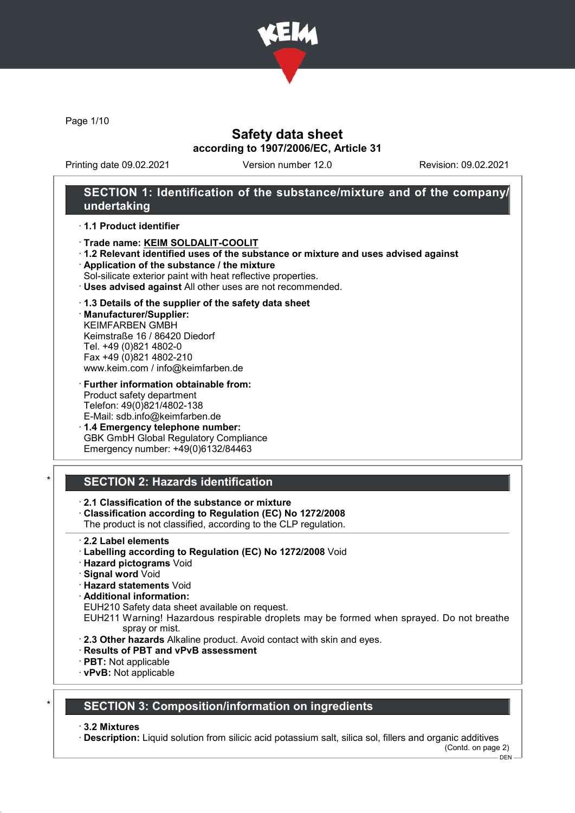

Page 1/10

# Safety data sheet according to 1907/2006/EC, Article 31

Printing date 09.02.2021 Version number 12.0 Revision: 09.02.2021

## SECTION 1: Identification of the substance/mixture and of the company/ undertaking

#### · 1.1 Product identifier

- · Trade name: KEIM SOLDALIT-COOLIT
- · 1.2 Relevant identified uses of the substance or mixture and uses advised against
- · Application of the substance / the mixture
- Sol-silicate exterior paint with heat reflective properties.
- · Uses advised against All other uses are not recommended.

#### · 1.3 Details of the supplier of the safety data sheet

· Manufacturer/Supplier: KEIMFARBEN GMBH Keimstraße 16 / 86420 Diedorf Tel. +49 (0)821 4802-0 Fax +49 (0)821 4802-210 www.keim.com / info@keimfarben.de

· Further information obtainable from: Product safety department Telefon: 49(0)821/4802-138 E-Mail: sdb.info@keimfarben.de

· 1.4 Emergency telephone number: GBK GmbH Global Regulatory Compliance Emergency number: +49(0)6132/84463

# **SECTION 2: Hazards identification**

- · 2.1 Classification of the substance or mixture
- · Classification according to Regulation (EC) No 1272/2008
- The product is not classified, according to the CLP regulation.
- · 2.2 Label elements
- · Labelling according to Regulation (EC) No 1272/2008 Void
- · Hazard pictograms Void
- · Signal word Void
- · Hazard statements Void
- · Additional information:
- EUH210 Safety data sheet available on request.
- EUH211 Warning! Hazardous respirable droplets may be formed when sprayed. Do not breathe spray or mist.
- · 2.3 Other hazards Alkaline product. Avoid contact with skin and eyes.
- · Results of PBT and vPvB assessment
- · PBT: Not applicable
- · vPvB: Not applicable

## SECTION 3: Composition/information on ingredients

· 3.2 Mixtures

· Description: Liquid solution from silicic acid potassium salt, silica sol, fillers and organic additives (Contd. on page 2)

DEN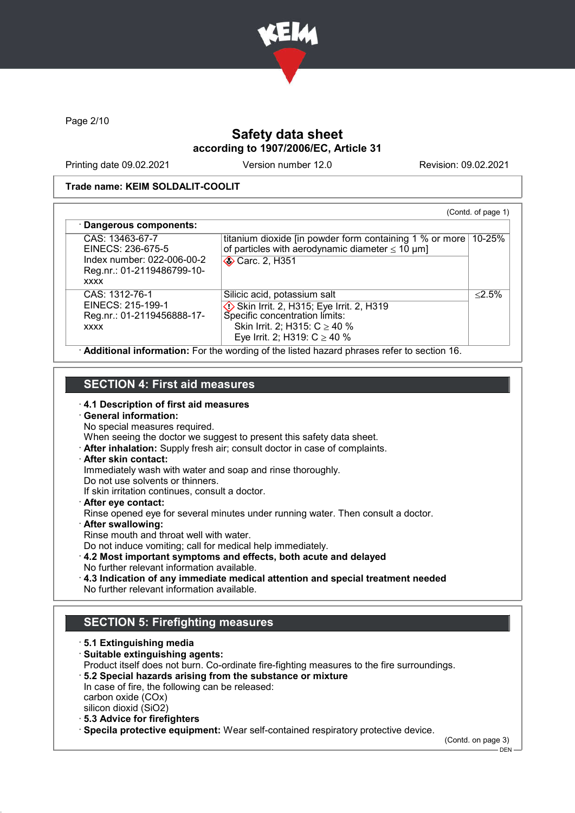

Page 2/10

# Safety data sheet according to 1907/2006/EC, Article 31

Printing date 09.02.2021 Version number 12.0 Revision: 09.02.2021

#### Trade name: KEIM SOLDALIT-COOLIT

| CAS: 13463-67-7                                                         | titanium dioxide [in powder form containing 1 % or more ]  | 10-25%    |
|-------------------------------------------------------------------------|------------------------------------------------------------|-----------|
| EINECS: 236-675-5                                                       | of particles with aerodynamic diameter $\leq 10 \ \mu m$ ] |           |
| Index number: 022-006-00-2<br>Reg.nr.: 01-2119486799-10-<br><b>XXXX</b> | <b>◆ Carc. 2, H351</b>                                     |           |
| CAS: 1312-76-1                                                          | Silicic acid, potassium salt                               | $< 2.5\%$ |
| EINECS: 215-199-1                                                       | Skin Irrit. 2, H315; Eye Irrit. 2, H319                    |           |
| Reg.nr.: 01-2119456888-17-                                              | Specific concentration limits:                             |           |
| <b>XXXX</b>                                                             | Skin Irrit. 2; H315: $C \ge 40 \%$                         |           |
|                                                                         | Eye Irrit. 2; H319: $C \ge 40$ %                           |           |

# SECTION 4: First aid measures

· 4.1 Description of first aid measures

# · General information:

No special measures required.

When seeing the doctor we suggest to present this safety data sheet.

· After inhalation: Supply fresh air; consult doctor in case of complaints.

### · After skin contact:

Immediately wash with water and soap and rinse thoroughly.

Do not use solvents or thinners.

If skin irritation continues, consult a doctor.

· After eye contact:

Rinse opened eye for several minutes under running water. Then consult a doctor.

- · After swallowing:
- Rinse mouth and throat well with water.

Do not induce vomiting; call for medical help immediately.

- · 4.2 Most important symptoms and effects, both acute and delayed No further relevant information available.
- · 4.3 Indication of any immediate medical attention and special treatment needed No further relevant information available.

# SECTION 5: Firefighting measures

· 5.1 Extinguishing media · Suitable extinguishing agents: Product itself does not burn. Co-ordinate fire-fighting measures to the fire surroundings. · 5.2 Special hazards arising from the substance or mixture In case of fire, the following can be released: carbon oxide (COx) silicon dioxid (SiO2) · 5.3 Advice for firefighters

· Specila protective equipment: Wear self-contained respiratory protective device.

(Contd. on page 3)

 $-$  DEN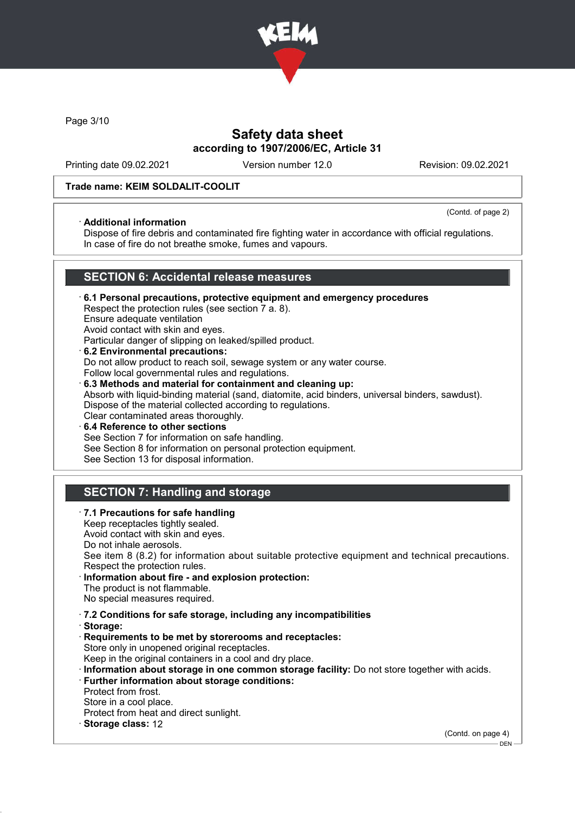

Page 3/10

# Safety data sheet according to 1907/2006/EC, Article 31

Printing date 09.02.2021 Version number 12.0 Revision: 09.02.2021

#### Trade name: KEIM SOLDALIT-COOLIT

#### · Additional information

(Contd. of page 2)

Dispose of fire debris and contaminated fire fighting water in accordance with official regulations. In case of fire do not breathe smoke, fumes and vapours.

## SECTION 6: Accidental release measures

· 6.1 Personal precautions, protective equipment and emergency procedures Respect the protection rules (see section 7 a. 8). Ensure adequate ventilation Avoid contact with skin and eyes. Particular danger of slipping on leaked/spilled product. · 6.2 Environmental precautions:

Do not allow product to reach soil, sewage system or any water course. Follow local governmental rules and regulations. · 6.3 Methods and material for containment and cleaning up: Absorb with liquid-binding material (sand, diatomite, acid binders, universal binders, sawdust). Dispose of the material collected according to regulations. Clear contaminated areas thoroughly.

6.4 Reference to other sections See Section 7 for information on safe handling. See Section 8 for information on personal protection equipment. See Section 13 for disposal information.

# SECTION 7: Handling and storage

· 7.1 Precautions for safe handling Keep receptacles tightly sealed. Avoid contact with skin and eyes. Do not inhale aerosols. See item 8 (8.2) for information about suitable protective equipment and technical precautions. Respect the protection rules. Information about fire - and explosion protection: The product is not flammable. No special measures required. · 7.2 Conditions for safe storage, including any incompatibilities · Storage: · Requirements to be met by storerooms and receptacles: Store only in unopened original receptacles. Keep in the original containers in a cool and dry place. · Information about storage in one common storage facility: Do not store together with acids. · Further information about storage conditions: Protect from frost. Store in a cool place. Protect from heat and direct sunlight. Storage class: 12 (Contd. on page 4)

 $-$  DEN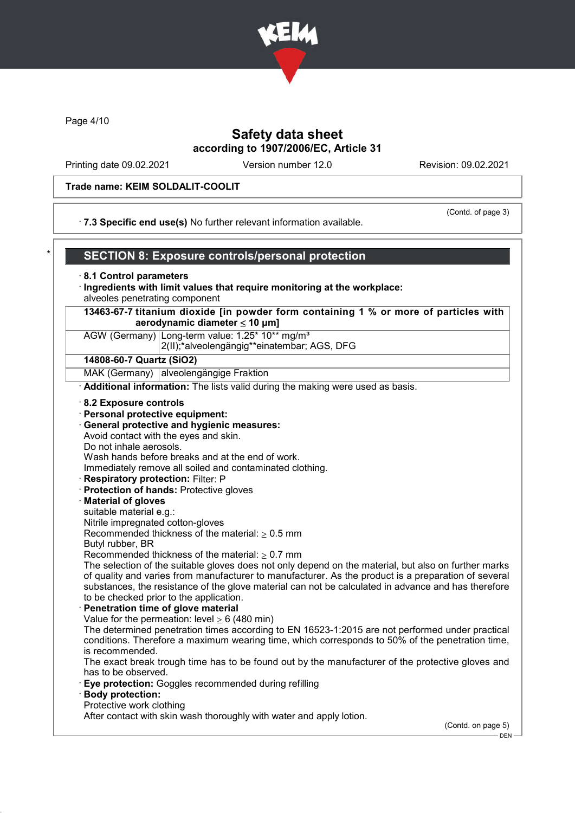

Page 4/10

# Safety data sheet according to 1907/2006/EC, Article 31

Printing date 09.02.2021 Version number 12.0 Revision: 09.02.2021

#### Trade name: KEIM SOLDALIT-COOLIT

#### · 7.3 Specific end use(s) No further relevant information available.

(Contd. of page 3)

# SECTION 8: Exposure controls/personal protection

#### · 8.1 Control parameters

- · Ingredients with limit values that require monitoring at the workplace: alveoles penetrating component
- 13463-67-7 titanium dioxide [in powder form containing 1 % or more of particles with aerodynamic diameter  $\leq 10 \mu m$ ]

# AGW (Germany) Long-term value: 1.25\* 10\*\* ma/m<sup>3</sup>

2(II);\*alveolengängig\*\*einatembar; AGS, DFG

#### 14808-60-7 Quartz (SiO2)

MAK (Germany) alveolengängige Fraktion

· Additional information: The lists valid during the making were used as basis.

#### · 8.2 Exposure controls

- · Personal protective equipment:
- · General protective and hygienic measures:

Avoid contact with the eyes and skin.

Do not inhale aerosols.

Wash hands before breaks and at the end of work.

Immediately remove all soiled and contaminated clothing.

- · Respiratory protection: Filter: P
- · Protection of hands: Protective gloves

#### · Material of gloves

suitable material e.g.:

Nitrile impregnated cotton-gloves

Recommended thickness of the material:  $\geq 0.5$  mm

Butyl rubber, BR

Recommended thickness of the material:  $\geq 0.7$  mm

The selection of the suitable gloves does not only depend on the material, but also on further marks of quality and varies from manufacturer to manufacturer. As the product is a preparation of several substances, the resistance of the glove material can not be calculated in advance and has therefore to be checked prior to the application.

Penetration time of glove material

Value for the permeation: level  $\geq 6$  (480 min)

The determined penetration times according to EN 16523-1:2015 are not performed under practical conditions. Therefore a maximum wearing time, which corresponds to 50% of the penetration time, is recommended.

The exact break trough time has to be found out by the manufacturer of the protective gloves and has to be observed.

- · Eye protection: Goggles recommended during refilling
- · Body protection:
- Protective work clothing

After contact with skin wash thoroughly with water and apply lotion.

(Contd. on page 5)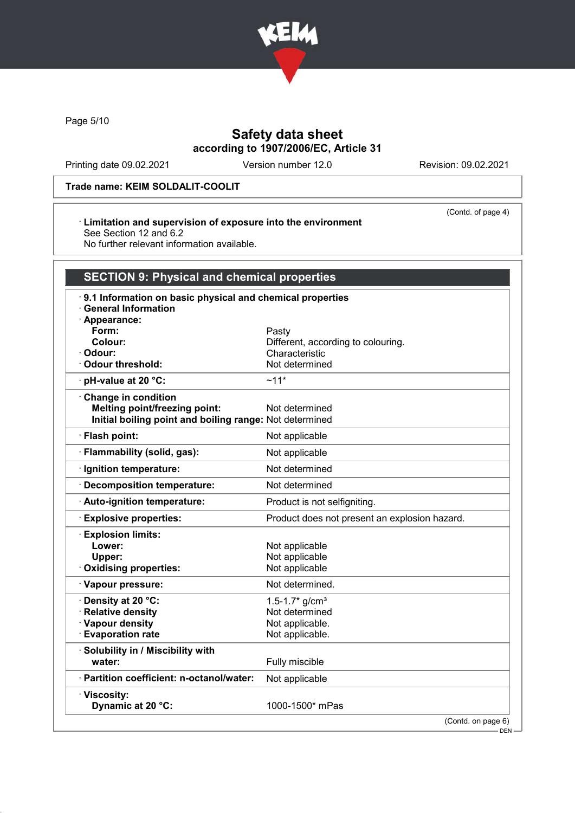

Page 5/10

# Safety data sheet according to 1907/2006/EC, Article 31

Printing date 09.02.2021 Version number 12.0 Revision: 09.02.2021

(Contd. of page 4)

### Trade name: KEIM SOLDALIT-COOLIT

#### · Limitation and supervision of exposure into the environment See Section 12 and 6.2

No further relevant information available.

| <b>SECTION 9: Physical and chemical properties</b>                                                       |                                               |  |
|----------------------------------------------------------------------------------------------------------|-----------------------------------------------|--|
| 9.1 Information on basic physical and chemical properties<br><b>General Information</b><br>· Appearance: |                                               |  |
| Form:                                                                                                    | Pasty                                         |  |
| Colour:                                                                                                  | Different, according to colouring.            |  |
| · Odour:                                                                                                 | Characteristic                                |  |
| Odour threshold:                                                                                         | Not determined                                |  |
| $\cdot$ pH-value at 20 °C:                                                                               | $~11*$                                        |  |
| Change in condition                                                                                      |                                               |  |
| <b>Melting point/freezing point:</b>                                                                     | Not determined                                |  |
| Initial boiling point and boiling range: Not determined                                                  |                                               |  |
| · Flash point:                                                                                           | Not applicable                                |  |
| · Flammability (solid, gas):                                                                             | Not applicable                                |  |
| · Ignition temperature:                                                                                  | Not determined                                |  |
| · Decomposition temperature:                                                                             | Not determined                                |  |
| · Auto-ignition temperature:                                                                             | Product is not selfigniting.                  |  |
| <b>Explosive properties:</b>                                                                             | Product does not present an explosion hazard. |  |
| <b>Explosion limits:</b>                                                                                 |                                               |  |
| Lower:                                                                                                   | Not applicable                                |  |
| Upper:                                                                                                   | Not applicable                                |  |
| Oxidising properties:                                                                                    | Not applicable                                |  |
| · Vapour pressure:                                                                                       | Not determined.                               |  |
| · Density at 20 °C:                                                                                      | $1.5 - 1.7$ * g/cm <sup>3</sup>               |  |
| · Relative density                                                                                       | Not determined                                |  |
| · Vapour density                                                                                         | Not applicable.                               |  |
| <b>Evaporation rate</b>                                                                                  | Not applicable.                               |  |
| · Solubility in / Miscibility with<br>water:                                                             | Fully miscible                                |  |
| · Partition coefficient: n-octanol/water:                                                                | Not applicable                                |  |
| · Viscosity:<br>Dynamic at 20 °C:                                                                        | 1000-1500* mPas                               |  |

(Contd. on page 6)

 $-$  DEN -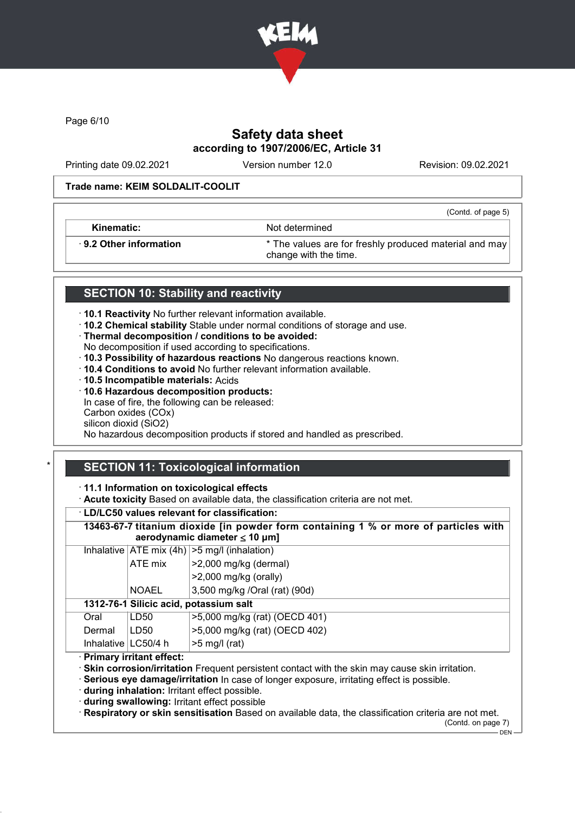

Page 6/10

# Safety data sheet according to 1907/2006/EC, Article 31

Printing date 09.02.2021 Version number 12.0 Revision: 09.02.2021

(Contd. of page 5)

#### Trade name: KEIM SOLDALIT-COOLIT

Kinematic: Not determined

· 9.2 Other information \* The values are for freshly produced material and may change with the time.

# SECTION 10: Stability and reactivity

· 10.1 Reactivity No further relevant information available.

- · 10.2 Chemical stability Stable under normal conditions of storage and use.
- · Thermal decomposition / conditions to be avoided:
- No decomposition if used according to specifications.

· 10.3 Possibility of hazardous reactions No dangerous reactions known.

- · 10.4 Conditions to avoid No further relevant information available.
- · 10.5 Incompatible materials: Acids
- · 10.6 Hazardous decomposition products:

In case of fire, the following can be released:

Carbon oxides (COx) silicon dioxid (SiO2)

No hazardous decomposition products if stored and handled as prescribed.

# SECTION 11: Toxicological information

· 11.1 Information on toxicological effects

· Acute toxicity Based on available data, the classification criteria are not met.

### · LD/LC50 values relevant for classification:

13463-67-7 titanium dioxide [in powder form containing 1 % or more of particles with aerodynamic diameter ≤ 10 μm]

|  |              | Inhalative $ ATE \text{ mix } (4h)  > 5 \text{ mg/l } (inhalation)$ |
|--|--------------|---------------------------------------------------------------------|
|  | ATE mix      | $ >2,000$ mg/kg (dermal)                                            |
|  |              | $ >2,000$ mg/kg (orally)                                            |
|  | <b>NOAEL</b> | 3,500 mg/kg /Oral (rat) (90d)                                       |

# 1312-76-1 Silicic acid, potassium salt

| Oral   | LD50                  | 1>5,000 mg/kg (rat) (OECD 401) |
|--------|-----------------------|--------------------------------|
| Dermal | LD50                  | >5,000 mg/kg (rat) (OECD 402)  |
|        | Inhalative   LC50/4 h | ∣>5 mg/l (rat)                 |

· Primary irritant effect:

· Skin corrosion/irritation Frequent persistent contact with the skin may cause skin irritation.

· Serious eye damage/irritation In case of longer exposure, irritating effect is possible.

· during inhalation: Irritant effect possible.

· during swallowing: Irritant effect possible

· Respiratory or skin sensitisation Based on available data, the classification criteria are not met. (Contd. on page 7)

 $-$  DEN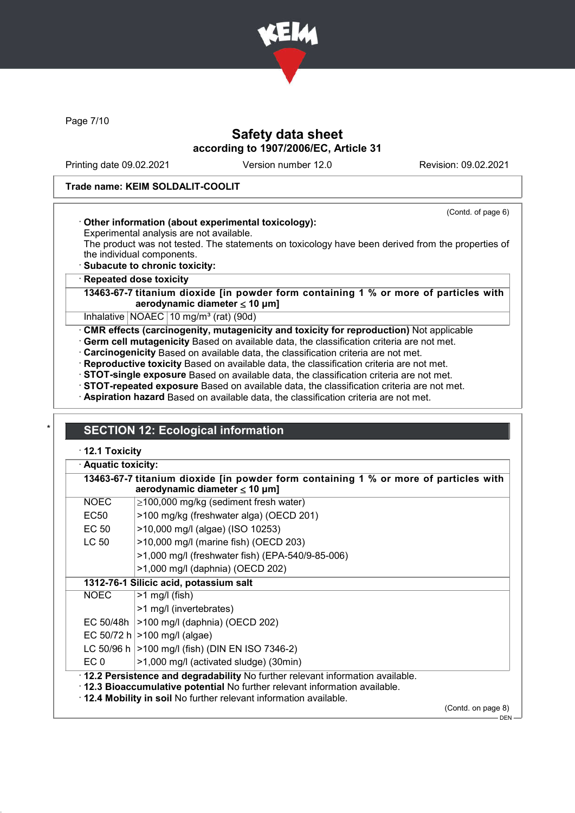

Page 7/10

# Safety data sheet according to 1907/2006/EC, Article 31

Printing date 09.02.2021 Version number 12.0 Revision: 09.02.2021

(Contd. of page 6)

### Trade name: KEIM SOLDALIT-COOLIT

### · Other information (about experimental toxicology):

Experimental analysis are not available.

The product was not tested. The statements on toxicology have been derived from the properties of the individual components.

· Subacute to chronic toxicity:

#### **Repeated dose toxicity**

13463-67-7 titanium dioxide [in powder form containing 1 % or more of particles with aerodynamic diameter ≤ 10 μm]

Inhalative  $NOAEC$  10 mg/m<sup>3</sup> (rat) (90d)

· CMR effects (carcinogenity, mutagenicity and toxicity for reproduction) Not applicable

· Germ cell mutagenicity Based on available data, the classification criteria are not met.

- · Carcinogenicity Based on available data, the classification criteria are not met.
- · Reproductive toxicity Based on available data, the classification criteria are not met.

· STOT-single exposure Based on available data, the classification criteria are not met.

· STOT-repeated exposure Based on available data, the classification criteria are not met.

· Aspiration hazard Based on available data, the classification criteria are not met.

# **SECTION 12: Ecological information**

· 12.1 Toxicity

|                 | aerodynamic diameter $\leq 10 \ \mu m$ ]                                                                                                                                                                                             |                    |  |  |
|-----------------|--------------------------------------------------------------------------------------------------------------------------------------------------------------------------------------------------------------------------------------|--------------------|--|--|
| <b>NOEC</b>     | $\geq$ 100,000 mg/kg (sediment fresh water)                                                                                                                                                                                          |                    |  |  |
| EC50            | >100 mg/kg (freshwater alga) (OECD 201)                                                                                                                                                                                              |                    |  |  |
| EC 50           | >10,000 mg/l (algae) (ISO 10253)                                                                                                                                                                                                     |                    |  |  |
| LC 50           | >10,000 mg/l (marine fish) (OECD 203)                                                                                                                                                                                                |                    |  |  |
|                 | >1,000 mg/l (freshwater fish) (EPA-540/9-85-006)                                                                                                                                                                                     |                    |  |  |
|                 | >1,000 mg/l (daphnia) (OECD 202)                                                                                                                                                                                                     |                    |  |  |
|                 | 1312-76-1 Silicic acid, potassium salt                                                                                                                                                                                               |                    |  |  |
| <b>NOEC</b>     | $>1$ mg/l (fish)                                                                                                                                                                                                                     |                    |  |  |
|                 | >1 mg/l (invertebrates)                                                                                                                                                                                                              |                    |  |  |
|                 | EC 50/48h   > 100 mg/l (daphnia) (OECD 202)                                                                                                                                                                                          |                    |  |  |
|                 | EC 50/72 h $>100$ mg/l (algae)                                                                                                                                                                                                       |                    |  |  |
|                 | LC 50/96 h   > 100 mg/l (fish) (DIN EN ISO 7346-2)                                                                                                                                                                                   |                    |  |  |
| EC <sub>0</sub> | >1,000 mg/l (activated sludge) (30min)                                                                                                                                                                                               |                    |  |  |
|                 | · 12.2 Persistence and degradability No further relevant information available.<br>. 12.3 Bioaccumulative potential No further relevant information available.<br>. 12.4 Mobility in soil No further relevant information available. |                    |  |  |
|                 |                                                                                                                                                                                                                                      | (Contd. on page 8) |  |  |

DEN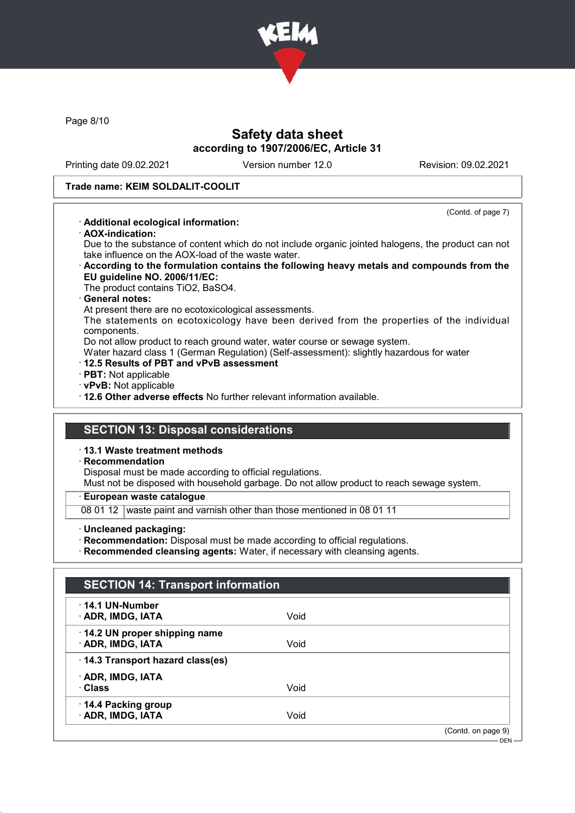

Page 8/10

# Safety data sheet according to 1907/2006/EC, Article 31

Printing date 09.02.2021 Version number 12.0 Revision: 09.02.2021

(Contd. of page 7)

#### Trade name: KEIM SOLDALIT-COOLIT

### · Additional ecological information:

· AOX-indication:

Due to the substance of content which do not include organic jointed halogens, the product can not take influence on the AOX-load of the waste water.

· According to the formulation contains the following heavy metals and compounds from the EU guideline NO. 2006/11/EC:

The product contains TiO2, BaSO4.

#### · General notes:

At present there are no ecotoxicological assessments.

The statements on ecotoxicology have been derived from the properties of the individual components.

Do not allow product to reach ground water, water course or sewage system.

- Water hazard class 1 (German Regulation) (Self-assessment): slightly hazardous for water
- · 12.5 Results of PBT and vPvB assessment
- · PBT: Not applicable
- · vPvB: Not applicable
- · 12.6 Other adverse effects No further relevant information available.

## SECTION 13: Disposal considerations

· 13.1 Waste treatment methods

### · Recommendation

Disposal must be made according to official regulations.

Must not be disposed with household garbage. Do not allow product to reach sewage system.

· European waste catalogue

08 01 12 waste paint and varnish other than those mentioned in 08 01 11

· Uncleaned packaging:

· Recommendation: Disposal must be made according to official regulations.

· Recommended cleansing agents: Water, if necessary with cleansing agents.

| <b>SECTION 14: Transport information</b>               |      |                               |
|--------------------------------------------------------|------|-------------------------------|
| $\cdot$ 14.1 UN-Number<br><b>ADR, IMDG, IATA</b>       | Void |                               |
| 14.2 UN proper shipping name<br><b>ADR, IMDG, IATA</b> | Void |                               |
| 14.3 Transport hazard class(es)                        |      |                               |
| · ADR, IMDG, IATA<br>· Class                           | Void |                               |
| 14.4 Packing group<br>· ADR, IMDG, IATA                | Void |                               |
|                                                        |      | (Contd. on page 9)<br>$DEN -$ |
|                                                        |      |                               |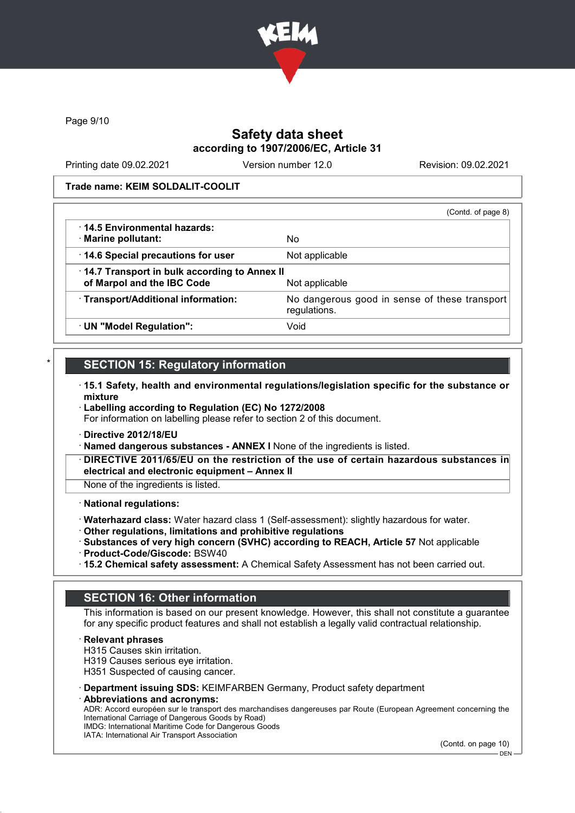

Page 9/10

## Safety data sheet according to 1907/2006/EC, Article 31

Printing date 09.02.2021 Version number 12.0 Revision: 09.02.2021

Trade name: KEIM SOLDALIT-COOLIT

|                                                                            | (Contd. of page 8)                                            |
|----------------------------------------------------------------------------|---------------------------------------------------------------|
| ⋅ 14.5 Environmental hazards:<br>· Marine pollutant:                       | No                                                            |
| 14.6 Special precautions for user                                          | Not applicable                                                |
| 14.7 Transport in bulk according to Annex II<br>of Marpol and the IBC Code | Not applicable                                                |
| · Transport/Additional information:                                        | No dangerous good in sense of these transport<br>regulations. |
| · UN "Model Regulation":                                                   | Void                                                          |

# **SECTION 15: Regulatory information**

- · 15.1 Safety, health and environmental regulations/legislation specific for the substance or mixture
- · Labelling according to Regulation (EC) No 1272/2008 For information on labelling please refer to section 2 of this document.
- · Directive 2012/18/EU
- · Named dangerous substances ANNEX I None of the ingredients is listed.
- DIRECTIVE 2011/65/EU on the restriction of the use of certain hazardous substances in electrical and electronic equipment – Annex II

None of the ingredients is listed.

#### · National regulations:

- · Waterhazard class: Water hazard class 1 (Self-assessment): slightly hazardous for water.
- · Other regulations, limitations and prohibitive regulations
- · Substances of very high concern (SVHC) according to REACH, Article 57 Not applicable
- · Product-Code/Giscode: BSW40
- · 15.2 Chemical safety assessment: A Chemical Safety Assessment has not been carried out.

## SECTION 16: Other information

This information is based on our present knowledge. However, this shall not constitute a guarantee for any specific product features and shall not establish a legally valid contractual relationship.

**Relevant phrases** 

H315 Causes skin irritation.

H319 Causes serious eye irritation.

H351 Suspected of causing cancer.

- · Department issuing SDS: KEIMFARBEN Germany, Product safety department
- Abbreviations and acronyms:

ADR: Accord européen sur le transport des marchandises dangereuses par Route (European Agreement concerning the International Carriage of Dangerous Goods by Road) IMDG: International Maritime Code for Dangerous Goods

IATA: International Air Transport Association

(Contd. on page 10)